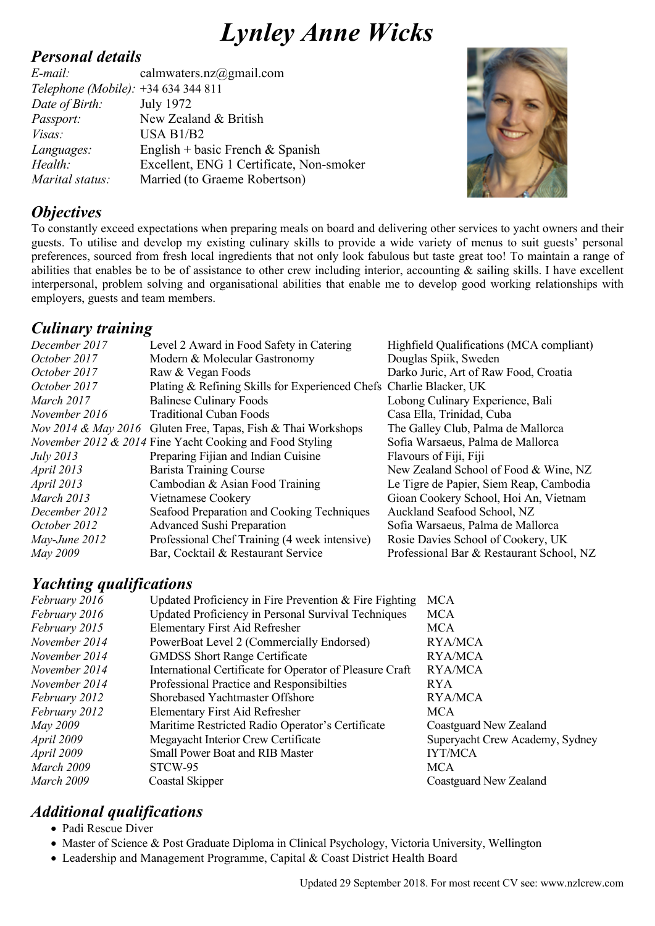# *Lynley Anne Wicks*

#### *Personal details*

*E-mail:* calmwaters.nz@gmail.com *Telephone (Mobile):* +34 634 344 811 *Date of Birth:* July 1972 *Passport:* New Zealand & British *Visas:* USA B1/B2 *Languages:* English + basic French & Spanish *Health:* Excellent, ENG 1 Certificate, Non-smoker *Marital status:* Married (to Graeme Robertson)



#### *Objectives*

To constantly exceed expectations when preparing meals on board and delivering other services to yacht owners and their guests. To utilise and develop my existing culinary skills to provide a wide variety of menus to suit guests' personal preferences, sourced from fresh local ingredients that not only look fabulous but taste great too! To maintain a range of abilities that enables be to be of assistance to other crew including interior, accounting & sailing skills. I have excellent interpersonal, problem solving and organisational abilities that enable me to develop good working relationships with employers, guests and team members.

### *Culinary training*

| December 2017     | Level 2 Award in Food Safety in Catering                            | Highfield Qualifications (MCA compliant) |
|-------------------|---------------------------------------------------------------------|------------------------------------------|
| October 2017      | Modern & Molecular Gastronomy                                       | Douglas Spiik, Sweden                    |
| October 2017      | Raw & Vegan Foods                                                   | Darko Juric, Art of Raw Food, Croatia    |
| October 2017      | Plating & Refining Skills for Experienced Chefs Charlie Blacker, UK |                                          |
| March 2017        | <b>Balinese Culinary Foods</b>                                      | Lobong Culinary Experience, Bali         |
| November 2016     | <b>Traditional Cuban Foods</b>                                      | Casa Ella, Trinidad, Cuba                |
|                   | Nov 2014 & May 2016 Gluten Free, Tapas, Fish & Thai Workshops       | The Galley Club, Palma de Mallorca       |
|                   | November 2012 & 2014 Fine Yacht Cooking and Food Styling            | Sofia Warsaeus, Palma de Mallorca        |
| <i>July</i> 2013  | Preparing Fijian and Indian Cuisine                                 | Flavours of Fiji, Fiji                   |
| <i>April</i> 2013 | <b>Barista Training Course</b>                                      | New Zealand School of Food & Wine, NZ    |
| April 2013        | Cambodian & Asian Food Training                                     | Le Tigre de Papier, Siem Reap, Cambodia  |
| March 2013        | Vietnamese Cookery                                                  | Gioan Cookery School, Hoi An, Vietnam    |
| December 2012     | Seafood Preparation and Cooking Techniques                          | Auckland Seafood School, NZ              |
| October 2012      | <b>Advanced Sushi Preparation</b>                                   | Sofia Warsaeus, Palma de Mallorca        |
| May-June 2012     | Professional Chef Training (4 week intensive)                       | Rosie Davies School of Cookery, UK       |
| May 2009          | Bar, Cocktail & Restaurant Service                                  | Professional Bar & Restaurant School, NZ |

#### *Yachting qualifications*

| February 2016 | Updated Proficiency in Fire Prevention $&$ Fire Fighting | <b>MCA</b>                      |
|---------------|----------------------------------------------------------|---------------------------------|
| February 2016 | Updated Proficiency in Personal Survival Techniques      | <b>MCA</b>                      |
| February 2015 | <b>Elementary First Aid Refresher</b>                    | <b>MCA</b>                      |
| November 2014 | PowerBoat Level 2 (Commercially Endorsed)                | RYA/MCA                         |
| November 2014 | <b>GMDSS Short Range Certificate</b>                     | <b>RYA/MCA</b>                  |
| November 2014 | International Certificate for Operator of Pleasure Craft | RYA/MCA                         |
| November 2014 | Professional Practice and Responsibilities               | <b>RYA</b>                      |
| February 2012 | Shorebased Yachtmaster Offshore                          | <b>RYA/MCA</b>                  |
| February 2012 | <b>Elementary First Aid Refresher</b>                    | <b>MCA</b>                      |
| May 2009      | Maritime Restricted Radio Operator's Certificate         | Coastguard New Zealand          |
| April 2009    | Megayacht Interior Crew Certificate                      | Superyacht Crew Academy, Sydney |
| April 2009    | <b>Small Power Boat and RIB Master</b>                   | <b>IYT/MCA</b>                  |
| March 2009    | STCW-95                                                  | <b>MCA</b>                      |
| March 2009    | Coastal Skipper                                          | Coastguard New Zealand          |
|               |                                                          |                                 |

## *Additional qualifications*

- Padi Rescue Diver
- Master of Science & Post Graduate Diploma in Clinical Psychology, Victoria University, Wellington
- Leadership and Management Programme, Capital & Coast District Health Board